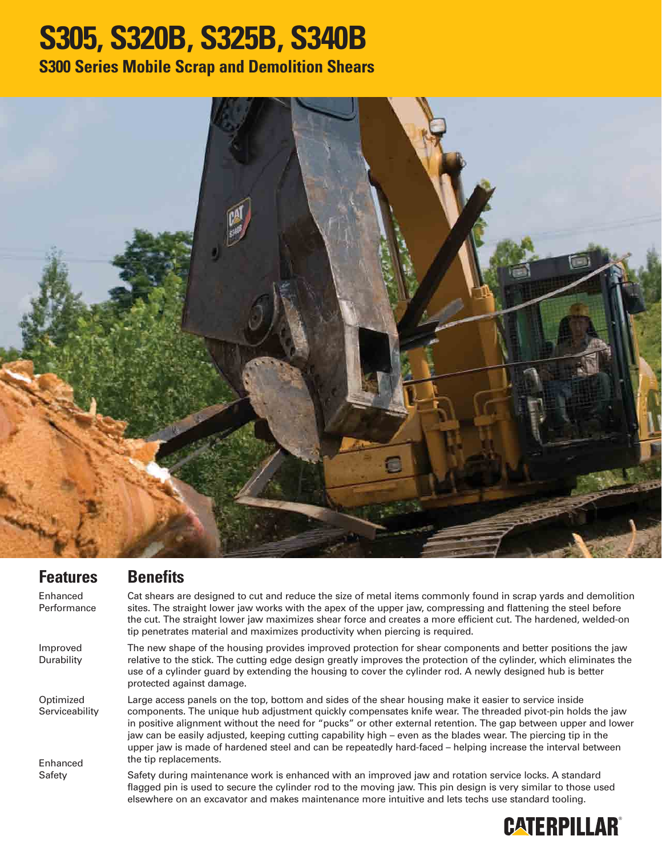## **S305, S320B, S325B, S340B**

**S300 Series Mobile Scrap and Demolition Shears**



**Features** Enhanced Performance Improved **Durability Optimized Serviceability** Enhanced Safety **Benefits** Cat shears are designed to cut and reduce the size of metal items commonly found in scrap yards and demolition sites. The straight lower jaw works with the apex of the upper jaw, compressing and flattening the steel before the cut. The straight lower jaw maximizes shear force and creates a more efficient cut. The hardened, welded-on tip penetrates material and maximizes productivity when piercing is required. The new shape of the housing provides improved protection for shear components and better positions the jaw relative to the stick. The cutting edge design greatly improves the protection of the cylinder, which eliminates the use of a cylinder guard by extending the housing to cover the cylinder rod. A newly designed hub is better protected against damage. Large access panels on the top, bottom and sides of the shear housing make it easier to service inside components. The unique hub adjustment quickly compensates knife wear. The threaded pivot-pin holds the jaw in positive alignment without the need for "pucks" or other external retention. The gap between upper and lower jaw can be easily adjusted, keeping cutting capability high – even as the blades wear. The piercing tip in the upper jaw is made of hardened steel and can be repeatedly hard-faced – helping increase the interval between the tip replacements. Safety during maintenance work is enhanced with an improved jaw and rotation service locks. A standard flagged pin is used to secure the cylinder rod to the moving jaw. This pin design is very similar to those used elsewhere on an excavator and makes maintenance more intuitive and lets techs use standard tooling.